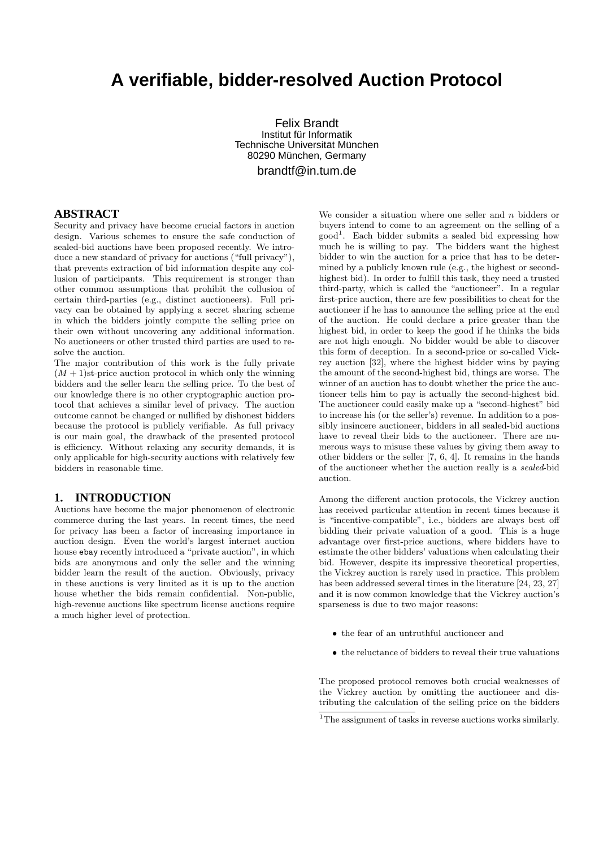# **A verifiable, bidder-resolved Auction Protocol**

Felix Brandt Institut für Informatik Technische Universität München 80290 München, Germany brandtf@in.tum.de

### **ABSTRACT**

Security and privacy have become crucial factors in auction design. Various schemes to ensure the safe conduction of sealed-bid auctions have been proposed recently. We introduce a new standard of privacy for auctions ("full privacy"), that prevents extraction of bid information despite any collusion of participants. This requirement is stronger than other common assumptions that prohibit the collusion of certain third-parties (e.g., distinct auctioneers). Full privacy can be obtained by applying a secret sharing scheme in which the bidders jointly compute the selling price on their own without uncovering any additional information. No auctioneers or other trusted third parties are used to resolve the auction.

The major contribution of this work is the fully private  $(M + 1)$ st-price auction protocol in which only the winning bidders and the seller learn the selling price. To the best of our knowledge there is no other cryptographic auction protocol that achieves a similar level of privacy. The auction outcome cannot be changed or nullified by dishonest bidders because the protocol is publicly verifiable. As full privacy is our main goal, the drawback of the presented protocol is efficiency. Without relaxing any security demands, it is only applicable for high-security auctions with relatively few bidders in reasonable time.

#### **1. INTRODUCTION**

Auctions have become the major phenomenon of electronic commerce during the last years. In recent times, the need for privacy has been a factor of increasing importance in auction design. Even the world's largest internet auction house ebay recently introduced a "private auction", in which bids are anonymous and only the seller and the winning bidder learn the result of the auction. Obviously, privacy in these auctions is very limited as it is up to the auction house whether the bids remain confidential. Non-public, high-revenue auctions like spectrum license auctions require a much higher level of protection.

We consider a situation where one seller and  $n$  bidders or buyers intend to come to an agreement on the selling of a good 1 . Each bidder submits a sealed bid expressing how much he is willing to pay. The bidders want the highest bidder to win the auction for a price that has to be determined by a publicly known rule (e.g., the highest or secondhighest bid). In order to fulfill this task, they need a trusted third-party, which is called the "auctioneer". In a regular first-price auction, there are few possibilities to cheat for the auctioneer if he has to announce the selling price at the end of the auction. He could declare a price greater than the highest bid, in order to keep the good if he thinks the bids are not high enough. No bidder would be able to discover this form of deception. In a second-price or so-called Vickrey auction [32], where the highest bidder wins by paying the amount of the second-highest bid, things are worse. The winner of an auction has to doubt whether the price the auctioneer tells him to pay is actually the second-highest bid. The auctioneer could easily make up a "second-highest" bid to increase his (or the seller's) revenue. In addition to a possibly insincere auctioneer, bidders in all sealed-bid auctions have to reveal their bids to the auctioneer. There are numerous ways to misuse these values by giving them away to other bidders or the seller [7, 6, 4]. It remains in the hands of the auctioneer whether the auction really is a sealed-bid auction.

Among the different auction protocols, the Vickrey auction has received particular attention in recent times because it is "incentive-compatible", i.e., bidders are always best off bidding their private valuation of a good. This is a huge advantage over first-price auctions, where bidders have to estimate the other bidders' valuations when calculating their bid. However, despite its impressive theoretical properties, the Vickrey auction is rarely used in practice. This problem has been addressed several times in the literature [24, 23, 27] and it is now common knowledge that the Vickrey auction's sparseness is due to two major reasons:

- the fear of an untruthful auctioneer and
- the reluctance of bidders to reveal their true valuations

The proposed protocol removes both crucial weaknesses of the Vickrey auction by omitting the auctioneer and distributing the calculation of the selling price on the bidders

<sup>&</sup>lt;sup>1</sup>The assignment of tasks in reverse auctions works similarly.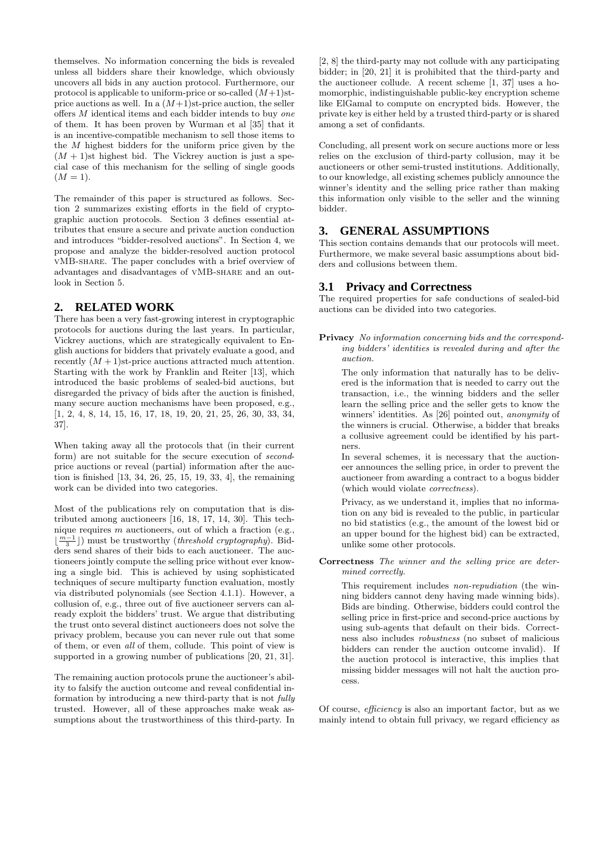themselves. No information concerning the bids is revealed unless all bidders share their knowledge, which obviously uncovers all bids in any auction protocol. Furthermore, our protocol is applicable to uniform-price or so-called  $(M+1)$ stprice auctions as well. In a  $(M+1)$ st-price auction, the seller offers M identical items and each bidder intends to buy one of them. It has been proven by Wurman et al [35] that it is an incentive-compatible mechanism to sell those items to the M highest bidders for the uniform price given by the  $(M + 1)$ st highest bid. The Vickrey auction is just a special case of this mechanism for the selling of single goods  $(M = 1).$ 

The remainder of this paper is structured as follows. Section 2 summarizes existing efforts in the field of cryptographic auction protocols. Section 3 defines essential attributes that ensure a secure and private auction conduction and introduces "bidder-resolved auctions". In Section 4, we propose and analyze the bidder-resolved auction protocol vMB-share. The paper concludes with a brief overview of advantages and disadvantages of vMB-share and an outlook in Section 5.

# **2. RELATED WORK**

There has been a very fast-growing interest in cryptographic protocols for auctions during the last years. In particular, Vickrey auctions, which are strategically equivalent to English auctions for bidders that privately evaluate a good, and recently  $(M + 1)$ st-price auctions attracted much attention. Starting with the work by Franklin and Reiter [13], which introduced the basic problems of sealed-bid auctions, but disregarded the privacy of bids after the auction is finished, many secure auction mechanisms have been proposed, e.g., [1, 2, 4, 8, 14, 15, 16, 17, 18, 19, 20, 21, 25, 26, 30, 33, 34, 37].

When taking away all the protocols that (in their current form) are not suitable for the secure execution of secondprice auctions or reveal (partial) information after the auction is finished [13, 34, 26, 25, 15, 19, 33, 4], the remaining work can be divided into two categories.

Most of the publications rely on computation that is distributed among auctioneers [16, 18, 17, 14, 30]. This technique requires  $m$  auctioneers, out of which a fraction (e.g.,  $\lfloor \frac{m-1}{3} \rfloor$ ) must be trustworthy (*threshold cryptography*). Bidders send shares of their bids to each auctioneer. The auctioneers jointly compute the selling price without ever knowing a single bid. This is achieved by using sophisticated techniques of secure multiparty function evaluation, mostly via distributed polynomials (see Section 4.1.1). However, a collusion of, e.g., three out of five auctioneer servers can already exploit the bidders' trust. We argue that distributing the trust onto several distinct auctioneers does not solve the privacy problem, because you can never rule out that some of them, or even all of them, collude. This point of view is supported in a growing number of publications [20, 21, 31].

The remaining auction protocols prune the auctioneer's ability to falsify the auction outcome and reveal confidential information by introducing a new third-party that is not fully trusted. However, all of these approaches make weak assumptions about the trustworthiness of this third-party. In

[2, 8] the third-party may not collude with any participating bidder; in [20, 21] it is prohibited that the third-party and the auctioneer collude. A recent scheme [1, 37] uses a homomorphic, indistinguishable public-key encryption scheme like ElGamal to compute on encrypted bids. However, the private key is either held by a trusted third-party or is shared among a set of confidants.

Concluding, all present work on secure auctions more or less relies on the exclusion of third-party collusion, may it be auctioneers or other semi-trusted institutions. Additionally, to our knowledge, all existing schemes publicly announce the winner's identity and the selling price rather than making this information only visible to the seller and the winning bidder.

# **3. GENERAL ASSUMPTIONS**

This section contains demands that our protocols will meet. Furthermore, we make several basic assumptions about bidders and collusions between them.

# **3.1 Privacy and Correctness**

The required properties for safe conductions of sealed-bid auctions can be divided into two categories.

Privacy No information concerning bids and the corresponding bidders' identities is revealed during and after the auction.

The only information that naturally has to be delivered is the information that is needed to carry out the transaction, i.e., the winning bidders and the seller learn the selling price and the seller gets to know the winners' identities. As [26] pointed out, anonymity of the winners is crucial. Otherwise, a bidder that breaks a collusive agreement could be identified by his partners.

In several schemes, it is necessary that the auctioneer announces the selling price, in order to prevent the auctioneer from awarding a contract to a bogus bidder (which would violate correctness).

Privacy, as we understand it, implies that no information on any bid is revealed to the public, in particular no bid statistics (e.g., the amount of the lowest bid or an upper bound for the highest bid) can be extracted, unlike some other protocols.

#### Correctness The winner and the selling price are determined correctly.

This requirement includes non-repudiation (the winning bidders cannot deny having made winning bids). Bids are binding. Otherwise, bidders could control the selling price in first-price and second-price auctions by using sub-agents that default on their bids. Correctness also includes robustness (no subset of malicious bidders can render the auction outcome invalid). If the auction protocol is interactive, this implies that missing bidder messages will not halt the auction process.

Of course, efficiency is also an important factor, but as we mainly intend to obtain full privacy, we regard efficiency as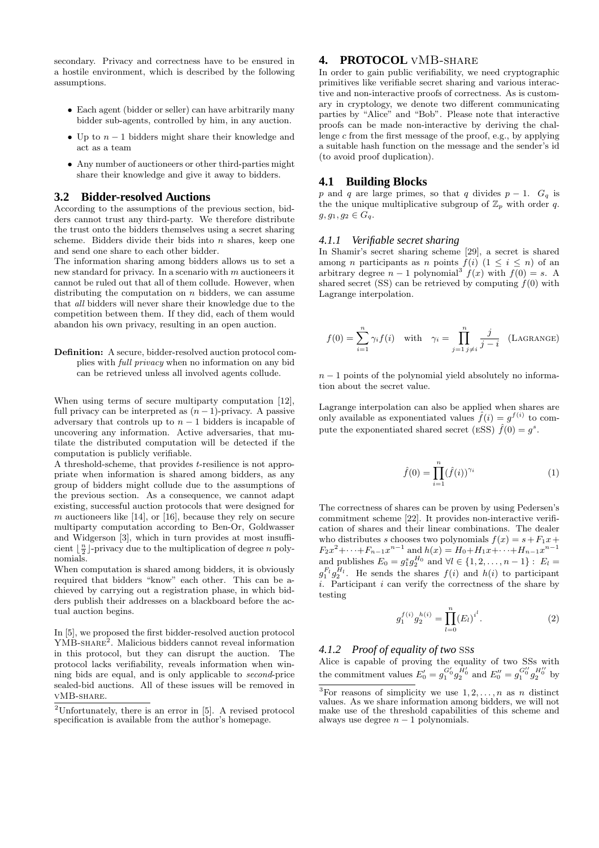secondary. Privacy and correctness have to be ensured in a hostile environment, which is described by the following assumptions.

- Each agent (bidder or seller) can have arbitrarily many bidder sub-agents, controlled by him, in any auction.
- Up to  $n-1$  bidders might share their knowledge and act as a team
- Any number of auctioneers or other third-parties might share their knowledge and give it away to bidders.

#### **3.2 Bidder-resolved Auctions**

According to the assumptions of the previous section, bidders cannot trust any third-party. We therefore distribute the trust onto the bidders themselves using a secret sharing scheme. Bidders divide their bids into  $n$  shares, keep one and send one share to each other bidder.

The information sharing among bidders allows us to set a new standard for privacy. In a scenario with  $m$  auctioneers it cannot be ruled out that all of them collude. However, when distributing the computation on  $n$  bidders, we can assume that all bidders will never share their knowledge due to the competition between them. If they did, each of them would abandon his own privacy, resulting in an open auction.

#### Definition: A secure, bidder-resolved auction protocol complies with full privacy when no information on any bid can be retrieved unless all involved agents collude.

When using terms of secure multiparty computation [12], full privacy can be interpreted as  $(n-1)$ -privacy. A passive adversary that controls up to  $n-1$  bidders is incapable of uncovering any information. Active adversaries, that mutilate the distributed computation will be detected if the computation is publicly verifiable.

A threshold-scheme, that provides t-resilience is not appropriate when information is shared among bidders, as any group of bidders might collude due to the assumptions of the previous section. As a consequence, we cannot adapt existing, successful auction protocols that were designed for  $m$  auctioneers like [14], or [16], because they rely on secure multiparty computation according to Ben-Or, Goldwasser and Widgerson [3], which in turn provides at most insufficient  $\lfloor \frac{n}{2} \rfloor$ -privacy due to the multiplication of degree n polynomials.

When computation is shared among bidders, it is obviously required that bidders "know" each other. This can be achieved by carrying out a registration phase, in which bidders publish their addresses on a blackboard before the actual auction begins.

In [5], we proposed the first bidder-resolved auction protocol YMB-SHARE<sup>2</sup>. Malicious bidders cannot reveal information in this protocol, but they can disrupt the auction. The protocol lacks verifiability, reveals information when winning bids are equal, and is only applicable to second-price sealed-bid auctions. All of these issues will be removed in vMB-share.

# **4. PROTOCOL** vMB-share

In order to gain public verifiability, we need cryptographic primitives like verifiable secret sharing and various interactive and non-interactive proofs of correctness. As is customary in cryptology, we denote two different communicating parties by "Alice" and "Bob". Please note that interactive proofs can be made non-interactive by deriving the challenge c from the first message of the proof, e.g., by applying a suitable hash function on the message and the sender's id (to avoid proof duplication).

#### **4.1 Building Blocks**

p and q are large primes, so that q divides  $p-1$ .  $G_q$  is the the unique multiplicative subgroup of  $\mathbb{Z}_p$  with order q.  $g, g_1, g_2 \in G_q$ .

#### *4.1.1 Verifiable secret sharing*

In Shamir's secret sharing scheme [29], a secret is shared among *n* participants as *n* points  $f(i)$   $(1 \leq i \leq n)$  of an arbitrary degree  $n-1$  polynomial<sup>3</sup>  $f(x)$  with  $f(0) = s$ . A shared secret (SS) can be retrieved by computing  $f(0)$  with Lagrange interpolation.

$$
f(0) = \sum_{i=1}^{n} \gamma_i f(i) \quad \text{with} \quad \gamma_i = \prod_{j=1}^{n} \frac{j}{j-i} \quad \text{(LAGRANGE)}
$$

 $n-1$  points of the polynomial yield absolutely no information about the secret value.

Lagrange interpolation can also be applied when shares are only available as exponentiated values  $\hat{f}(i) = g^{f(i)}$  to compute the exponentiated shared secret (ESS)  $\hat{f}(0) = g^s$ .

$$
\hat{f}(0) = \prod_{i=1}^{n} (\hat{f}(i))^{\gamma_i} \tag{1}
$$

The correctness of shares can be proven by using Pedersen's commitment scheme [22]. It provides non-interactive verification of shares and their linear combinations. The dealer who distributes s chooses two polynomials  $f(x) = s + F_1x +$  $F_2x^2 + \cdots + F_{n-1}x^{n-1}$  and  $h(x) = H_0 + H_1x + \cdots + H_{n-1}x^{n-1}$ and publishes  $E_0 = g_1^s g_2^{H_0}$  and  $\forall l \in \{1, 2, ..., n-1\} : E_l =$  $g_1^{F_l} g_2^{H_l}$ . He sends the shares  $f(i)$  and  $h(i)$  to participant  $i$ . Participant  $i$  can verify the correctness of the share by testing

$$
g_1^{f(i)}g_2^{h(i)} = \prod_{l=0}^n (E_l)^{i^l}.
$$
 (2)

# *4.1.2 Proof of equality of two* SS*s*

Alice is capable of proving the equality of two SSs with the commitment values  $E'_0 = g_1^{G'_0} g_2^{H'_0}$  and  $E''_0 = g_1^{G''_0} g_2^{H''_0}$  by

<sup>2</sup>Unfortunately, there is an error in [5]. A revised protocol specification is available from the author's homepage.

 $\overline{{}^3\text{For reasons of simplicity we use }1,2,\ldots,n \text{ as } n \text{ distinct}}$ values. As we share information among bidders, we will not make use of the threshold capabilities of this scheme and always use degree  $n - 1$  polynomials.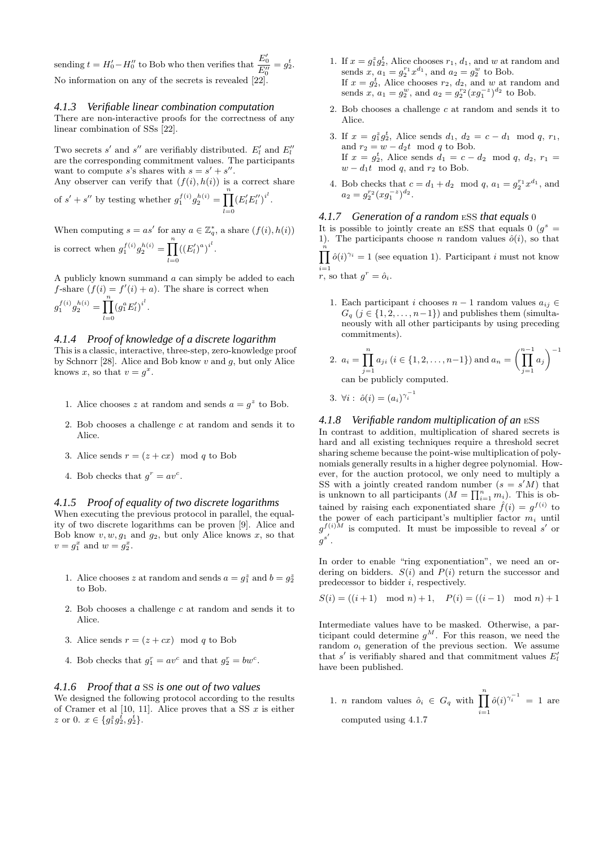sending  $t = H'_0 - H''_0$  to Bob who then verifies that  $\frac{E'_0}{E''_0} = g_2^t$ . No information on any of the secrets is revealed [22].

#### *4.1.3 Verifiable linear combination computation*

There are non-interactive proofs for the correctness of any linear combination of SSs [22].

Two secrets  $s'$  and  $s''$  are verifiably distributed.  $E'_l$  and  $E''_l$ are the corresponding commitment values. The participants want to compute s's shares with  $s = s' + s''$ . Any observer can verify that  $(f(i), h(i))$  is a correct share

of  $s' + s''$  by testing whether  $g_1^{f(i)}g_2^{h(i)} = \prod^n$  $_{l=0}$  $(E_{l}'E_{l}'')^{i^l}.$ 

When computing  $s = as'$  for any  $a \in \mathbb{Z}_q^*$ , a share  $(f(i), h(i))$ is correct when  $g_1^{f(i)}g_2^{h(i)} = \prod^n$  $_{l=0}$  $((E'_l)^a)^{i^l}.$ 

A publicly known summand a can simply be added to each f-share  $(f(i) = f'(i) + a)$ . The share is correct when

$$
g_1^{f(i)}g_2^{h(i)} = \prod_{l=0}^n (g_1^a E'_l)^{i^l}.
$$

#### *4.1.4 Proof of knowledge of a discrete logarithm*

This is a classic, interactive, three-step, zero-knowledge proof by Schnorr [28]. Alice and Bob know  $v$  and  $q$ , but only Alice knows x, so that  $v = g^x$ .

- 1. Alice chooses z at random and sends  $a = g^z$  to Bob.
- 2. Bob chooses a challenge  $c$  at random and sends it to Alice.
- 3. Alice sends  $r = (z + cx) \mod q$  to Bob
- 4. Bob checks that  $g^r = av^c$ .

#### *4.1.5 Proof of equality of two discrete logarithms*

When executing the previous protocol in parallel, the equality of two discrete logarithms can be proven [9]. Alice and Bob know  $v, w, g_1$  and  $g_2$ , but only Alice knows x, so that  $v = g_1^x$  and  $w = g_2^x$ .

- 1. Alice chooses z at random and sends  $a = g_1^z$  and  $b = g_2^z$ to Bob.
- 2. Bob chooses a challenge  $c$  at random and sends it to Alice.
- 3. Alice sends  $r = (z + cx) \mod q$  to Bob
- 4. Bob checks that  $g_1^r = av^c$  and that  $g_2^r = bw^c$ .

#### *4.1.6 Proof that a* SS *is one out of two values*

We designed the following protocol according to the results of Cramer et al  $[10, 11]$ . Alice proves that a SS  $x$  is either z or 0.  $x \in \{g_1^z g_2^{\bar{t}}, g_2^{\bar{t}}\}.$ 

- 1. If  $x = g_1^z g_2^t$ , Alice chooses  $r_1, d_1$ , and w at random and sends  $x, a_1 = g_2^{r_1} x^{d_1}$ , and  $a_2 = g_2^w$  to Bob. If  $x = g_2^t$ , Alice chooses  $r_2$ ,  $d_2$ , and w at random and sends  $x, a_1 = g_2^w$ , and  $a_2 = g_2^{r_2} (x g_1^{-z})^{d_2}$  to Bob.
- 2. Bob chooses a challenge  $c$  at random and sends it to Alice.
- 3. If  $x = g_1^z g_2^t$ , Alice sends  $d_1, d_2 = c d_1 \mod q, r_1$ , and  $r_2 = w - d_2t \mod q$  to Bob. If  $x = g_2^t$ , Alice sends  $d_1 = c - d_2 \mod q$ ,  $d_2$ ,  $r_1 =$  $w - d_1t \mod q$ , and  $r_2$  to Bob.
- 4. Bob checks that  $c = d_1 + d_2 \mod q$ ,  $a_1 = g_2^{r_1} x^{d_1}$ , and  $a_2 = g_2^{r_2} (x g_1^{-z})^{d_2}.$

#### *4.1.7 Generation of a random* eSS *that equals* 0

It is possible to jointly create an ESS that equals  $0(g^s =$ 1). The participants choose n random values  $\hat{o}(i)$ , so that  $\prod_{i=1}^{n} \hat{o}(i)^{\gamma_i} = 1$  (see equation 1). Participant *i* must not know

 $i=1 \n r$ , so that  $g^r = \hat{o}_i$ .

1. Each participant i chooses  $n-1$  random values  $a_{ij} \in$  $G_q$  ( $j \in \{1, 2, \ldots, n-1\}$ ) and publishes them (simultaneously with all other participants by using preceding commitments).

2. 
$$
a_i = \prod_{j=1}^n a_{ji} \ (i \in \{1, 2, \dots, n-1\})
$$
 and 
$$
a_n = \left(\prod_{j=1}^{n-1} a_j\right)^{-1}
$$
can be publicly computed.

3. 
$$
\forall i: \ \hat{o}(i) = (a_i)^{\gamma_i^{-1}}
$$

#### *4.1.8 Verifiable random multiplication of an* eSS

In contrast to addition, multiplication of shared secrets is hard and all existing techniques require a threshold secret sharing scheme because the point-wise multiplication of polynomials generally results in a higher degree polynomial. However, for the auction protocol, we only need to multiply a SS with a jointly created random number  $(s = s'M)$  that is unknown to all participants  $(M = \prod_{i=1}^n m_i)$ . This is obtained by raising each exponentiated share  $\hat{f}(i) = g^{f(i)}$  to the power of each participant's multiplier factor  $m_i$  until  $g^{f(i)M}$  is computed. It must be impossible to reveal s' or  $g^{s'}$  .

In order to enable "ring exponentiation", we need an ordering on bidders.  $S(i)$  and  $P(i)$  return the successor and predecessor to bidder i, respectively.

$$
S(i) = ((i + 1) \mod n) + 1, \quad P(i) = ((i - 1) \mod n) + 1
$$

Intermediate values have to be masked. Otherwise, a participant could determine  $g^M$ . For this reason, we need the random  $o_i$  generation of the previous section. We assume that  $s'$  is verifiably shared and that commitment values  $E'_{l}$ have been published.

1. *n* random values  $\hat{o}_i \in G_q$  with  $\prod^n$  $i=1$  $\hat{o}(i)^{\gamma_i^{-1}} = 1$  are computed using 4.1.7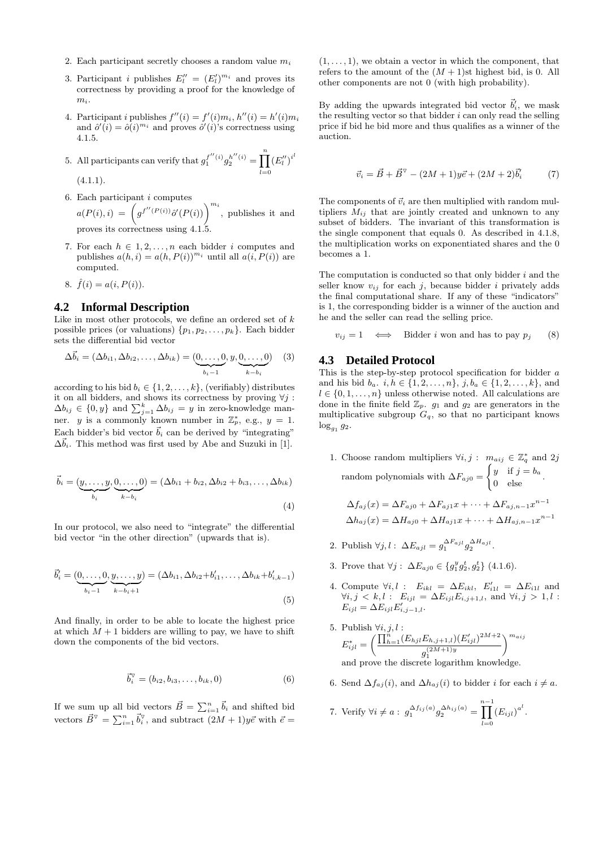- 2. Each participant secretly chooses a random value  $m_i$
- 3. Participant *i* publishes  $E_l'' = (E_l')^{m_i}$  and proves its correctness by providing a proof for the knowledge of  $m<sub>i</sub>$
- 4. Participant *i* publishes  $f''(i) = f'(i)m_i, h''(i) = h'(i)m_i$ and  $\hat{o}'(i) = \hat{o}(i)^{m_i}$  and proves  $\hat{o}'(i)$ 's correctness using 4.1.5.

5. All participants can verify that  $g_1^{f''(i)}g_2^{h''(i)} = \prod^n$  $_{l=0}$  $\left(E_{l}^{\prime\prime}\right)^{i^{l}}$  $(4.1.1).$ 

6. Each participant  $i$  computes

 $a(P(i), i) = \left( g^{f''(P(i))} \hat{o}'(P(i)) \right)^{m_i}$ , publishes it and proves its correctness using 4.1.5.

- 7. For each  $h \in 1, 2, \ldots, n$  each bidder i computes and publishes  $a(h, i) = a(h, P(i))^{m_i}$  until all  $a(i, P(i))$  are computed.
- 8.  $\hat{f}(i) = a(i, P(i)).$

# **4.2 Informal Description**

Like in most other protocols, we define an ordered set of  $k$ possible prices (or valuations)  $\{p_1, p_2, \ldots, p_k\}$ . Each bidder sets the differential bid vector

$$
\Delta \vec{b}_i = (\Delta b_{i1}, \Delta b_{i2}, \dots, \Delta b_{ik}) = (\underbrace{0, \dots, 0}_{b_i-1}, y, \underbrace{0, \dots, 0}_{k-b_i})
$$
 (3)

according to his bid  $b_i \in \{1, 2, \ldots, k\}$ , (verifiably) distributes it on all bidders, and shows its correctness by proving  $\forall j$ :  $\Delta b_{ij} \in \{0, y\}$  and  $\sum_{j=1}^k \Delta b_{ij} = y$  in zero-knowledge manner. y is a commonly known number in  $\mathbb{Z}_p^*$ , e.g.,  $y = 1$ . Each bidder's bid vector  $\vec{b}_i$  can be derived by "integrating"  $\Delta \vec{b}_i$ . This method was first used by Abe and Suzuki in [1].

$$
\vec{b}_i = (\underbrace{y, \dots, y}_{b_i}, \underbrace{0, \dots, 0}_{k-b_i}) = (\Delta b_{i1} + b_{i2}, \Delta b_{i2} + b_{i3}, \dots, \Delta b_{ik})
$$
\n(4)

In our protocol, we also need to "integrate" the differential bid vector "in the other direction" (upwards that is).

$$
\vec{b}'_i = (\underbrace{0, \dots, 0}_{b_i-1}, \underbrace{y, \dots, y}_{k-b_i+1}) = (\Delta b_{i1}, \Delta b_{i2} + b'_{i1}, \dots, \Delta b_{ik} + b'_{i,k-1})
$$
\n(5)

And finally, in order to be able to locate the highest price at which  $M + 1$  bidders are willing to pay, we have to shift down the components of the bid vectors.

$$
\vec{b}_i^{\triangledown} = (b_{i2}, b_{i3}, \dots, b_{ik}, 0)
$$
 (6)

If we sum up all bid vectors  $\vec{B} = \sum_{i=1}^{n} \vec{b}_i$  and shifted bid vectors  $\vec{B}^{\nabla} = \sum_{i=1}^{n} \vec{b}_{i}^{\nabla}$ , and subtract  $(2M + 1)y\vec{e}$  with  $\vec{e} =$ 

 $(1, \ldots, 1)$ , we obtain a vector in which the component, that refers to the amount of the  $(M + 1)$ st highest bid, is 0. All other components are not 0 (with high probability).

By adding the upwards integrated bid vector  $\vec{b}'_i$ , we mask the resulting vector so that bidder  $i$  can only read the selling price if bid he bid more and thus qualifies as a winner of the auction.

$$
\vec{v}_i = \vec{B} + \vec{B}^{\triangledown} - (2M + 1)y\vec{e} + (2M + 2)\vec{b}_i' \tag{7}
$$

The components of  $\vec{v}_i$  are then multiplied with random multipliers  $M_{ij}$  that are jointly created and unknown to any subset of bidders. The invariant of this transformation is the single component that equals 0. As described in 4.1.8, the multiplication works on exponentiated shares and the 0 becomes a 1.

The computation is conducted so that only bidder  $i$  and the seller know  $v_{ij}$  for each j, because bidder i privately adds the final computational share. If any of these "indicators" is 1, the corresponding bidder is a winner of the auction and he and the seller can read the selling price.

$$
v_{ij} = 1 \iff \text{Bidder } i \text{ won and has to pay } p_j \qquad (8)
$$

#### **4.3 Detailed Protocol**

This is the step-by-step protocol specification for bidder a and his bid  $b_a$ .  $i, h \in \{1, 2, ..., n\}$ ,  $j, b_a \in \{1, 2, ..., k\}$ , and  $l \in \{0, 1, \ldots, n\}$  unless otherwise noted. All calculations are done in the finite field  $\mathbb{Z}_p$ .  $g_1$  and  $g_2$  are generators in the multiplicative subgroup  $G_q$ , so that no participant knows  $log_{g_1} g_2$ .

1. Choose random multipliers  $\forall i, j : m_{aij} \in \mathbb{Z}_q^*$  and  $2j$ random polynomials with  $\Delta F_{aj0} =$  $\int y$  if  $j = b_a$  $\begin{bmatrix} 9 & 1 & 0 \\ 0 & 1 & 0 \\ 0 & 0 & 0 \end{bmatrix}$ .

$$
\Delta f_{aj}(x) = \Delta F_{aj0} + \Delta F_{aj1}x + \dots + \Delta F_{aj,n-1}x^{n-1}
$$

$$
\Delta h_{aj}(x) = \Delta H_{aj0} + \Delta H_{aj1}x + \dots + \Delta H_{aj,n-1}x^{n-1}
$$

- 2. Publish  $\forall j, l : \Delta E_{ajl} = g_1^{\Delta F_{ajl}} g_2^{\Delta H_{ajl}}$ .
- 3. Prove that  $\forall j : \Delta E_{aj0} \in \{g_1^y g_2^t, g_2^t\}$  (4.1.6).
- 4. Compute  $\forall i, l : E_{ikl} = \Delta E_{ikl}, E'_{i1l} = \Delta E_{i1l}$  and  $\forall i, j \leq k, l : E_{ijl} = \Delta E_{ijl} E_{i,j+1,l}, \text{ and } \forall i, j > 1, l :$  $E_{ijl} = \Delta E_{ijl} E'_{i,j-1,l}.$

5. Publishing 
$$
\forall i, j, l
$$
 :  $E_{ijl}^* = \left(\frac{\prod_{h=1}^n (E_{hjl}E_{h,j+1,l})(E'_{ijl})^{2M+2}}{g_1^{(2M+1)y}}\right)^{m_{aij}}$  and prove the discrete logarithm knowledge.

6. Send  $\Delta f_{aj}(i)$ , and  $\Delta h_{aj}(i)$  to bidder *i* for each  $i \neq a$ .

7. Verify 
$$
\forall i \neq a : g_1^{\Delta f_{ij}(a)} g_2^{\Delta h_{ij}(a)} = \prod_{l=0}^{n-1} (E_{ijl})^{a^l}
$$
.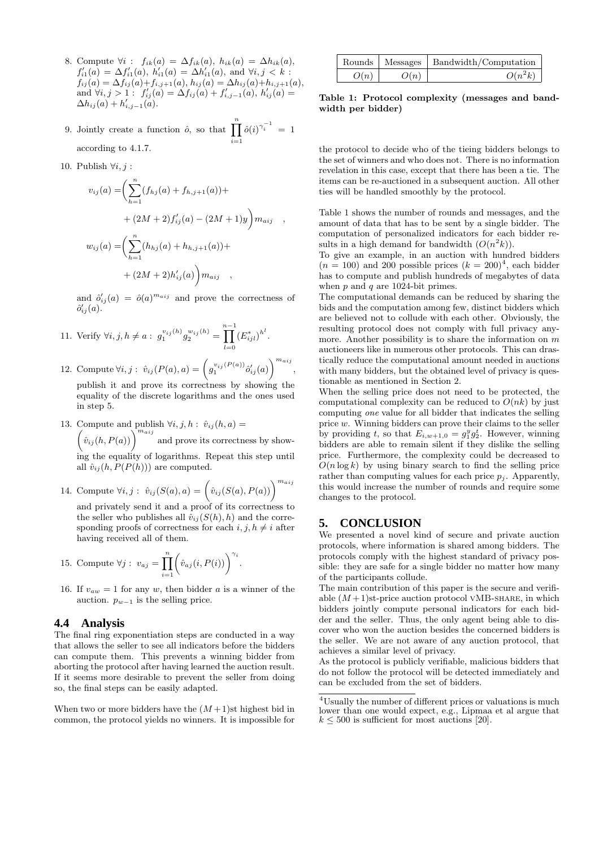- 8. Compute  $\forall i$ :  $f_{ik}(a) = \Delta f_{ik}(a)$ ,  $h_{ik}(a) = \Delta h_{ik}(a)$ ,  $f'_{i1}(a) = \Delta f'_{i1}(a), h'_{i1}(a) = \Delta h'_{i1}(a), \text{ and } \forall i, j < k:$  $f_{ij}(a) = \Delta f_{ij}(a) + f_{i,j+1}(a), h_{ij}(a) = \Delta h_{ij}(a) + h_{i,j+1}(a),$ and  $\forall i, j > 1$ :  $f'_{ij}(a) = \Delta f_{ij}(a) + f'_{i,j-1}(a), h'_{ij}(a) =$  $\Delta h_{ij}(a) + h'_{i,j-1}(a).$
- 9. Jointly create a function  $\hat{o}$ , so that  $\prod_{n=1}^{\infty}$  $i=1$  $\hat{o}(i)^{\gamma_i^{-1}} = 1$ according to 4.1.7.
- 10. Publish  $\forall i, j$ :

$$
v_{ij}(a) = \left(\sum_{h=1}^{n} (f_{hj}(a) + f_{h,j+1}(a)) +
$$
  
+  $(2M + 2) f'_{ij}(a) - (2M + 1)y\right) m_{aij}$ ,  

$$
w_{ij}(a) = \left(\sum_{h=1}^{n} (h_{hj}(a) + h_{h,j+1}(a)) +
$$
  
+  $(2M + 2)h'_{ij}(a)\right) m_{aij}$ ,

and  $\hat{o}'_{ij}(a) = \hat{o}(a)^{m_{aij}}$  and prove the correctness of  $\hat{o}'_{ij}(a)$ .

- 11. Verify  $\forall i, j, h \neq a : g_1^{v_{ij}(h)} g_2^{w_{ij}(h)} =$ n−1<br>∏  $_{l=0}$  $(E_{ijl}^*)^{h^l}$ .
- 12. Compute  $\forall i, j : \hat{v}_{ij}(P(a), a) = \left(g_1^{v_{ij}(P(a))}\hat{o}'_{ij}(a)\right)^{m_{aij}},$ publish it and prove its correctness by showing the

equality of the discrete logarithms and the ones used in step 5.

13. Compute and publish  $\forall i, j, h : \hat{v}_{ij}(h, a) =$ 

 $\left(\hat{v}_{ij}(h, P(a))\right)^{m_{aij}}$  and prove its correctness by showing the equality of logarithms. Repeat this step until all  $\hat{v}_{ij}(h, P(P(h)))$  are computed.

14. Compute  $\forall i, j : \hat{v}_{ij}(S(a), a) = (\hat{v}_{ij}(S(a), P(a)))^{m_{aij}}$ 

and privately send it and a proof of its correctness to the seller who publishes all  $\hat{v}_{ij}(S(h), h)$  and the corresponding proofs of correctness for each  $i, j, h \neq i$  after having received all of them.

15. Compute 
$$
\forall j : v_{aj} = \prod_{i=1}^{n} \left( \hat{v}_{aj}(i, P(i)) \right)^{\gamma_i}
$$
.

16. If  $v_{aw} = 1$  for any w, then bidder a is a winner of the auction.  $p_{w-1}$  is the selling price.

#### **4.4 Analysis**

The final ring exponentiation steps are conducted in a way that allows the seller to see all indicators before the bidders can compute them. This prevents a winning bidder from aborting the protocol after having learned the auction result. If it seems more desirable to prevent the seller from doing so, the final steps can be easily adapted.

When two or more bidders have the  $(M+1)$ st highest bid in common, the protocol yields no winners. It is impossible for

|      |      | Rounds   Messages   Bandwidth/Computation |
|------|------|-------------------------------------------|
| O(n) | O(n) | $O(n^2k)$                                 |

Table 1: Protocol complexity (messages and bandwidth per bidder)

the protocol to decide who of the tieing bidders belongs to the set of winners and who does not. There is no information revelation in this case, except that there has been a tie. The items can be re-auctioned in a subsequent auction. All other ties will be handled smoothly by the protocol.

Table 1 shows the number of rounds and messages, and the amount of data that has to be sent by a single bidder. The computation of personalized indicators for each bidder results in a high demand for bandwidth  $(O(n^2k))$ .

To give an example, in an auction with hundred bidders  $(n = 100)$  and 200 possible prices  $(k = 200)^4$ , each bidder has to compute and publish hundreds of megabytes of data when  $p$  and  $q$  are 1024-bit primes.

The computational demands can be reduced by sharing the bids and the computation among few, distinct bidders which are believed not to collude with each other. Obviously, the resulting protocol does not comply with full privacy anymore. Another possibility is to share the information on  $m$ auctioneers like in numerous other protocols. This can drastically reduce the computational amount needed in auctions with many bidders, but the obtained level of privacy is questionable as mentioned in Section 2.

When the selling price does not need to be protected, the computational complexity can be reduced to  $O(nk)$  by just computing one value for all bidder that indicates the selling price w. Winning bidders can prove their claims to the seller by providing t, so that  $E_{i,w+1,0} = g_1^y g_2^t$ . However, winning bidders are able to remain silent if they dislike the selling price. Furthermore, the complexity could be decreased to  $O(n \log k)$  by using binary search to find the selling price rather than computing values for each price  $p_i$ . Apparently, this would increase the number of rounds and require some changes to the protocol.

### **5. CONCLUSION**

We presented a novel kind of secure and private auction protocols, where information is shared among bidders. The protocols comply with the highest standard of privacy possible: they are safe for a single bidder no matter how many of the participants collude.

The main contribution of this paper is the secure and verifiable  $(M+1)$ st-price auction protocol VMB-SHARE, in which bidders jointly compute personal indicators for each bidder and the seller. Thus, the only agent being able to discover who won the auction besides the concerned bidders is the seller. We are not aware of any auction protocol, that achieves a similar level of privacy.

As the protocol is publicly verifiable, malicious bidders that do not follow the protocol will be detected immediately and can be excluded from the set of bidders.

<sup>4</sup>Usually the number of different prices or valuations is much lower than one would expect, e.g., Lipmaa et al argue that  $k \leq 500$  is sufficient for most auctions [20].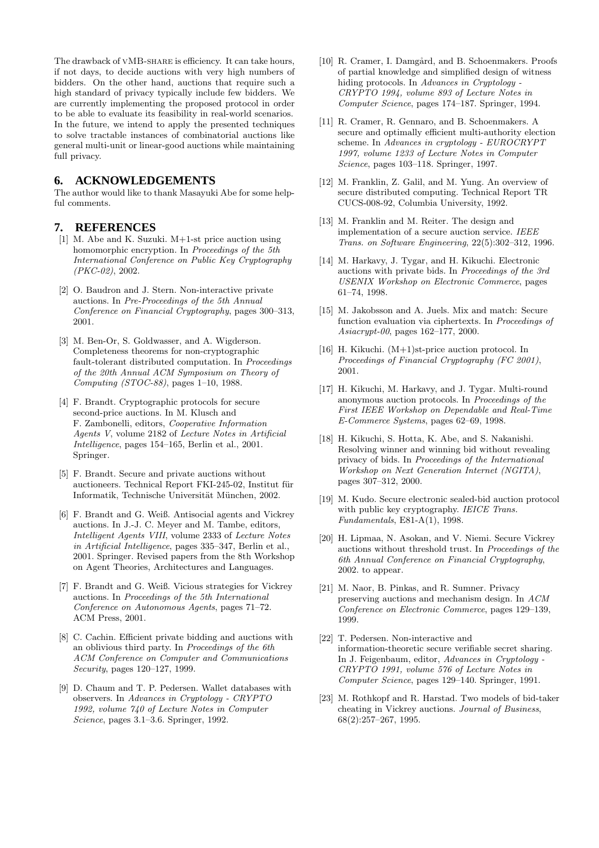The drawback of vMB-share is efficiency. It can take hours, if not days, to decide auctions with very high numbers of bidders. On the other hand, auctions that require such a high standard of privacy typically include few bidders. We are currently implementing the proposed protocol in order to be able to evaluate its feasibility in real-world scenarios. In the future, we intend to apply the presented techniques to solve tractable instances of combinatorial auctions like general multi-unit or linear-good auctions while maintaining full privacy.

# **6. ACKNOWLEDGEMENTS**

The author would like to thank Masayuki Abe for some helpful comments.

#### **7. REFERENCES**

- [1] M. Abe and K. Suzuki. M+1-st price auction using homomorphic encryption. In Proceedings of the 5th International Conference on Public Key Cryptography (PKC-02), 2002.
- [2] O. Baudron and J. Stern. Non-interactive private auctions. In Pre-Proceedings of the 5th Annual Conference on Financial Cryptography, pages 300–313, 2001.
- [3] M. Ben-Or, S. Goldwasser, and A. Wigderson. Completeness theorems for non-cryptographic fault-tolerant distributed computation. In *Proceedings* of the 20th Annual ACM Symposium on Theory of Computing (STOC-88), pages 1–10, 1988.
- [4] F. Brandt. Cryptographic protocols for secure second-price auctions. In M. Klusch and F. Zambonelli, editors, Cooperative Information Agents V, volume 2182 of Lecture Notes in Artificial Intelligence, pages 154–165, Berlin et al., 2001. Springer.
- [5] F. Brandt. Secure and private auctions without auctioneers. Technical Report FKI-245-02, Institut für Informatik, Technische Universität München, 2002.
- [6] F. Brandt and G. Weiß. Antisocial agents and Vickrey auctions. In J.-J. C. Meyer and M. Tambe, editors, Intelligent Agents VIII, volume 2333 of Lecture Notes in Artificial Intelligence, pages 335–347, Berlin et al., 2001. Springer. Revised papers from the 8th Workshop on Agent Theories, Architectures and Languages.
- [7] F. Brandt and G. Weiß. Vicious strategies for Vickrey auctions. In Proceedings of the 5th International Conference on Autonomous Agents, pages 71–72. ACM Press, 2001.
- [8] C. Cachin. Efficient private bidding and auctions with an oblivious third party. In Proceedings of the 6th ACM Conference on Computer and Communications Security, pages 120–127, 1999.
- [9] D. Chaum and T. P. Pedersen. Wallet databases with observers. In Advances in Cryptology - CRYPTO 1992, volume 740 of Lecture Notes in Computer Science, pages 3.1–3.6. Springer, 1992.
- [10] R. Cramer, I. Damgård, and B. Schoenmakers. Proofs of partial knowledge and simplified design of witness hiding protocols. In Advances in Cryptology - CRYPTO 1994, volume 893 of Lecture Notes in Computer Science, pages 174–187. Springer, 1994.
- [11] R. Cramer, R. Gennaro, and B. Schoenmakers. A secure and optimally efficient multi-authority election scheme. In Advances in cryptology - EUROCRYPT 1997, volume 1233 of Lecture Notes in Computer Science, pages 103–118. Springer, 1997.
- [12] M. Franklin, Z. Galil, and M. Yung. An overview of secure distributed computing. Technical Report TR CUCS-008-92, Columbia University, 1992.
- [13] M. Franklin and M. Reiter. The design and implementation of a secure auction service. IEEE Trans. on Software Engineering, 22(5):302–312, 1996.
- [14] M. Harkavy, J. Tygar, and H. Kikuchi. Electronic auctions with private bids. In Proceedings of the 3rd USENIX Workshop on Electronic Commerce, pages 61–74, 1998.
- [15] M. Jakobsson and A. Juels. Mix and match: Secure function evaluation via ciphertexts. In Proceedings of Asiacrypt-00, pages 162–177, 2000.
- [16] H. Kikuchi. (M+1)st-price auction protocol. In Proceedings of Financial Cryptography (FC 2001), 2001.
- [17] H. Kikuchi, M. Harkavy, and J. Tygar. Multi-round anonymous auction protocols. In Proceedings of the First IEEE Workshop on Dependable and Real-Time E-Commerce Systems, pages 62–69, 1998.
- [18] H. Kikuchi, S. Hotta, K. Abe, and S. Nakanishi. Resolving winner and winning bid without revealing privacy of bids. In Proceedings of the International Workshop on Next Generation Internet (NGITA), pages 307–312, 2000.
- [19] M. Kudo. Secure electronic sealed-bid auction protocol with public key cryptography. IEICE Trans. Fundamentals, E81-A(1), 1998.
- [20] H. Lipmaa, N. Asokan, and V. Niemi. Secure Vickrey auctions without threshold trust. In Proceedings of the 6th Annual Conference on Financial Cryptography, 2002. to appear.
- [21] M. Naor, B. Pinkas, and R. Sumner. Privacy preserving auctions and mechanism design. In ACM Conference on Electronic Commerce, pages 129–139, 1999.
- [22] T. Pedersen. Non-interactive and information-theoretic secure verifiable secret sharing. In J. Feigenbaum, editor, Advances in Cryptology - CRYPTO 1991, volume 576 of Lecture Notes in Computer Science, pages 129–140. Springer, 1991.
- [23] M. Rothkopf and R. Harstad. Two models of bid-taker cheating in Vickrey auctions. Journal of Business, 68(2):257–267, 1995.